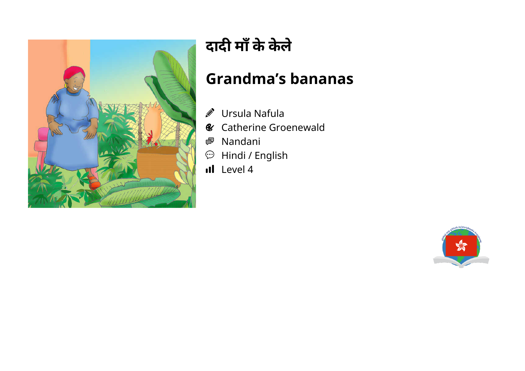

# **दाद मा ँ केकेले**

## **Grandma's bananas**

- Ursula Nafula
- **&** Catherine Groenewald
- Nandani
- $\mathfrak{D}$  Hindi / English
- Il Level 4

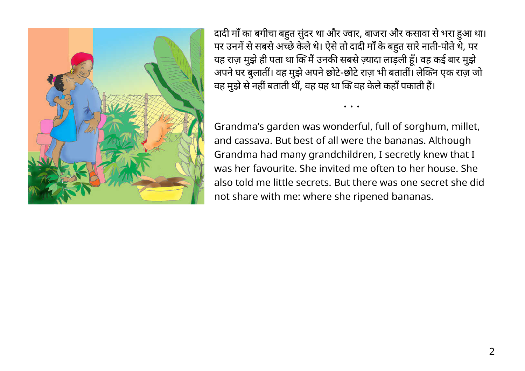

दादी माँ का बगीचा बहुत सुंदर था और ज्वार, बाजरा और कसावा से भरा हुआ था। पर उनमें से सबसे अच्छे केले थे। ऐसे तो दादी माँ के बहुत सारे नाती-पोते थे, पर यह राज़ मुझे ही पता था कि मैं उनकी सबसे ज़्यादा लाड़ली हूँ। वह कई बार मुझे अपने घर बुलातीं। वह मुझे अपने छोटे-छोटे राज़ भी बतातीं। लेकिन एक राज़ जो वह मुझे से नहीं बताती थीं, वह यह था कि वह केले कहाँ पकाती हैं।

• • •

Grandma's garden was wonderful, full of sorghum, millet, and cassava. But best of all were the bananas. Although Grandma had many grandchildren, I secretly knew that I was her favourite. She invited me often to her house. She also told me little secrets. But there was one secret she did not share with me: where she ripened bananas.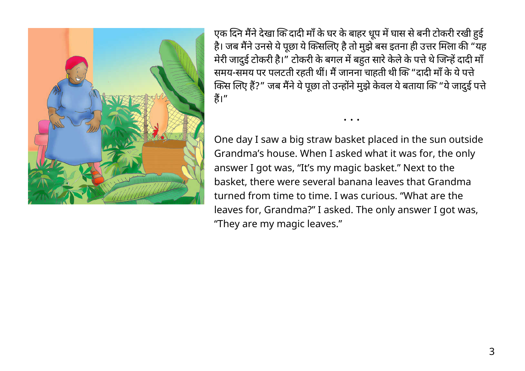

एक दिने मैंने देखा कि दादी माँ के घर के बाहर धूप में घास से बनी टोकरी रखी हुई है। जब मैंने उनसे ये पूछा ये किसलिए है तो मुझे बस इतना ही उत्तर मिला की "यह मेरी जादुई टोकरी है।" टोकरी के बगल में बहुत सारे केले के पत्ते थे जिन्हें दादी माँ समय-समय पर पलटती रहती थीं। मैं जानना चाहती थी कि "दादी माँ के ये पत्ते किस लिए हैं?" जब मैंने ये पूछा तो उन्होंने मुझे केवल ये बताया कि "ये जादुई पत्ते हैं।"

• • •

One day I saw a big straw basket placed in the sun outside Grandma's house. When I asked what it was for, the only answer I got was, "It's my magic basket." Next to the basket, there were several banana leaves that Grandma turned from time to time. I was curious. "What are the leaves for, Grandma?" I asked. The only answer I got was, "They are my magic leaves."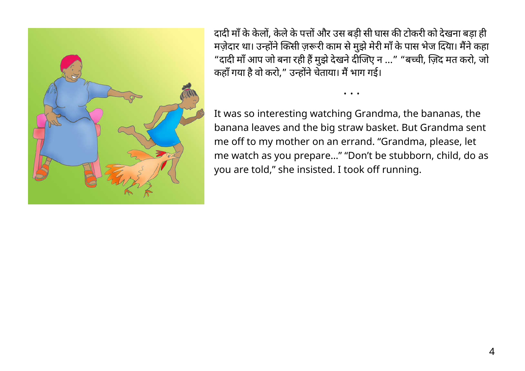

दादी माँ के केलों, केले के पत्तों और उस बड़ी सी घास की टोकरी को देखना बड़ा ही मज़ेदार था। उन्होंने किसी ज़रूरी काम से मुझे मेरी माँ के पास भेज दिया। मैंने कहा "दादी माँ आप जो बना रही हैं मुझे देखने दीजिए न …" "बच्ची, ज़िद मत करो, जो कहाँ गया है वो करो," उन्होंने चेताया। मैं भाग गई।

• • •

It was so interesting watching Grandma, the bananas, the banana leaves and the big straw basket. But Grandma sent me off to my mother on an errand. "Grandma, please, let me watch as you prepare…" "Don't be stubborn, child, do as you are told," she insisted. I took off running.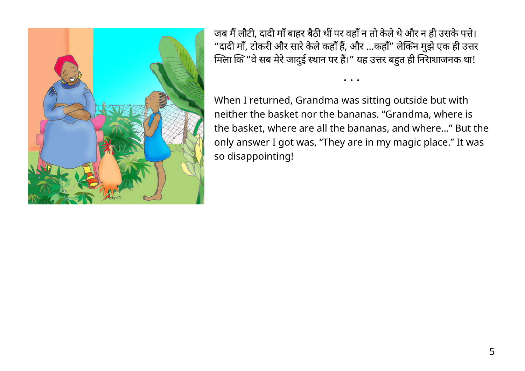

जब मैं लौटी, दादी माँ बाहर बैठी थीं पर वहाँ न तो केले थे और न ही उसके पत्ते। "दादी माँ, टोकरी और सारे केले कहाँ हैं, और …कहाँ" लेकिन मुझे एक ही उत्तर मिला कि "वे सब मेरे जादुई स्थान पर हैं।" यह उत्तर बहुत ही निराशाजनक था!

When I returned, Grandma was sitting outside but with neither the basket nor the bananas. "Grandma, where is the basket, where are all the bananas, and where…" But the only answer I got was, "They are in my magic place." It was so disappointing!

• • •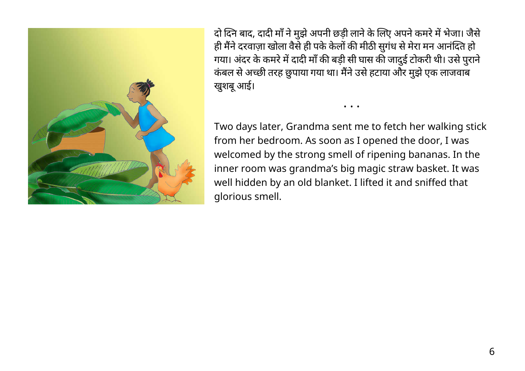

दो दिने बाद, दादी माँ ने मुझे अपनी छड़ी लाने के लिए अपने कमरे में भेजा। जैसे ही मैंने दरवाज़ा खोला वैसे ही पके केलों की मीठी सुगंध से मेरा मन आनंदित हो गया। अंदर के कमरे में दादी माँ की बड़ी सी घास की जादुई टोकरी थी। उसे पुराने कंबल से अच्छी तरह छुपाया गया था। मैंने उसे हटाया और मुझे एक लाजवाब खुशबूआई।

Two days later, Grandma sent me to fetch her walking stick from her bedroom. As soon as I opened the door, I was welcomed by the strong smell of ripening bananas. In the inner room was grandma's big magic straw basket. It was well hidden by an old blanket. I lifted it and sniffed that glorious smell.

• • •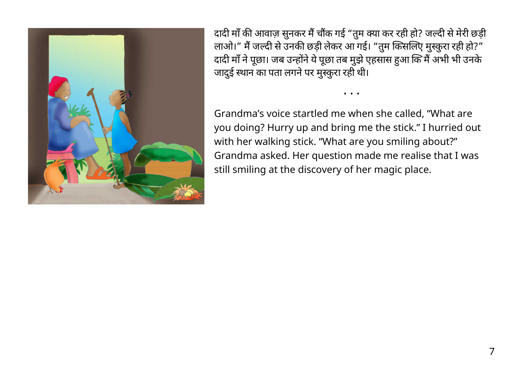

दादी माँ की आवाज़ सुनकर मैं चौंक गई "तुम क्या कर रही हो? जल्दी से मेरी छड़ी लाओ।" मैं जल्दी से उनकी छड़ी लेकर आ गई। "तुम किसलिए मुस्कुरा रही हो?" दादी माँ ने पूछा। जब उन्होंने ये पूछा तब मुझे एहसास हुआ कि मैं अभी भी उनके जादुई स्थान का पता लगने पर मुस्कुरा रही थी।

• • •

Grandma's voice startled me when she called, "What are you doing? Hurry up and bring me the stick." I hurried out with her walking stick. "What are you smiling about?" Grandma asked. Her question made me realise that I was still smiling at the discovery of her magic place.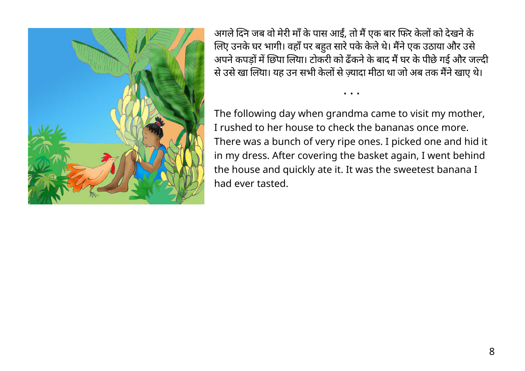

अगले दिने जब वो मेरी माँ के पास आईं, तो मैं एक बार फिर केलों को देखने के लिए उनके घर भागी। वहाँ पर बहुत सारे पके केले थे। मैंने एक उठाया और उसे अपने कपडों में छिपा लिया। टोकरी को ढँकने के बाद मैं घर के पीछे गई और जल्दी से उसे खा लिया। यह उन सभी केलों से ज़्यादा मीठा था जो अब तक मैंने खाए थे।

• • •

The following day when grandma came to visit my mother, I rushed to her house to check the bananas once more. There was a bunch of very ripe ones. I picked one and hid it in my dress. After covering the basket again, I went behind the house and quickly ate it. It was the sweetest banana I had ever tasted.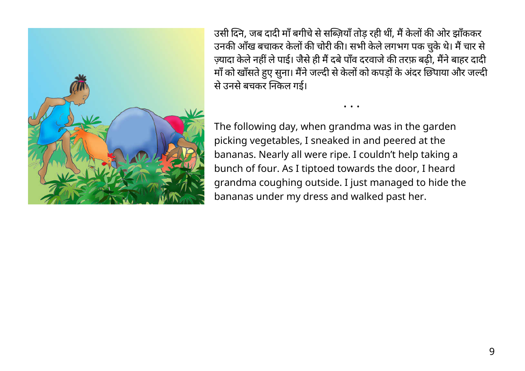

उसी दिन, जब दादी माँ बगीचे से सब्ज़ियाँ तोड रही थीं, मैं केलों की ओर झाँककर उनकी आँख बचाकर केलों की चोरी की। सभी केले लगभग पक चुके थे। मैं चार से ज़्यादा केले नहीं ले पाई। जैसे ही मैं दबे पाँव दरवाजे की तरफ़ बढी, मैंने बाहर दादी माँ को खाँसते हुए सुना। मैंने जल्दी से केलों को कपड़ों के अंदर छिपाया और जल्दी से उनसे बचकर निकेल गई।

• • •

The following day, when grandma was in the garden picking vegetables, I sneaked in and peered at the bananas. Nearly all were ripe. I couldn't help taking a bunch of four. As I tiptoed towards the door, I heard grandma coughing outside. I just managed to hide the bananas under my dress and walked past her.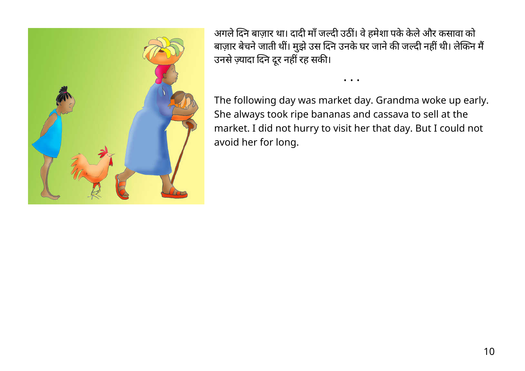

अगले दिने बाज़ार था। दादी माँ जल्दी उठीं। वे हमेशा पके केले और कसावा को बाज़ार बेचने जाती थीं। मुझे उस दिने उनके घर जाने की जल्दी नहीं थी। लेकिन मैं उनसे ज़्यादा दिने दूर नहीं रह सकी।

The following day was market day. Grandma woke up early. She always took ripe bananas and cassava to sell at the market. I did not hurry to visit her that day. But I could not avoid her for long.

• • •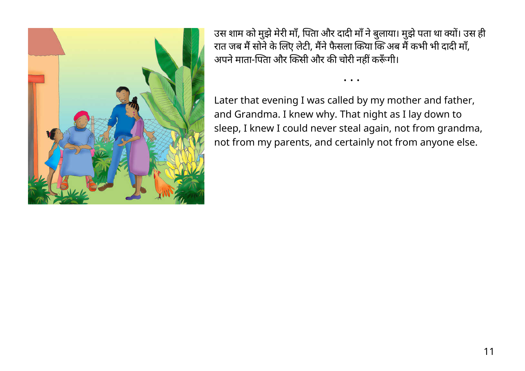

उस शाम को मुझे मेरी माँ, पिता और दादी माँ ने बुलाया। मुझे पता था क्यों। उस ही रात जब मैं सोने के लिए लेटी, मैंने फैसला किया कि अब मैं कभी भी दादी माँ, अपने माता-पिता और किसी और की चोरी नहीं करूँगी।

• • •

Later that evening I was called by my mother and father, and Grandma. I knew why. That night as I lay down to sleep, I knew I could never steal again, not from grandma, not from my parents, and certainly not from anyone else.